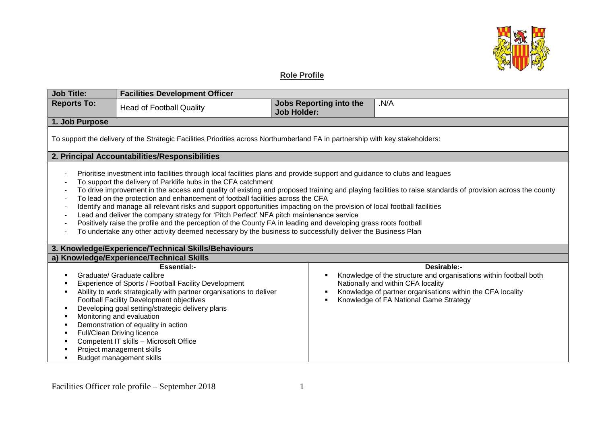

## **Role Profile**

| <b>Job Title:</b>                                                                                                                                                                                                                                                                                                                                                                                                                                                                                                                                                                                                                                                                                                                                                                                                                                                                                   | <b>Facilities Development Officer</b>                                                                                                                                                                                                                                                                                                                                                                                                                                                       |                                                      |                                                                                                                                                                                                                                |  |
|-----------------------------------------------------------------------------------------------------------------------------------------------------------------------------------------------------------------------------------------------------------------------------------------------------------------------------------------------------------------------------------------------------------------------------------------------------------------------------------------------------------------------------------------------------------------------------------------------------------------------------------------------------------------------------------------------------------------------------------------------------------------------------------------------------------------------------------------------------------------------------------------------------|---------------------------------------------------------------------------------------------------------------------------------------------------------------------------------------------------------------------------------------------------------------------------------------------------------------------------------------------------------------------------------------------------------------------------------------------------------------------------------------------|------------------------------------------------------|--------------------------------------------------------------------------------------------------------------------------------------------------------------------------------------------------------------------------------|--|
| <b>Reports To:</b>                                                                                                                                                                                                                                                                                                                                                                                                                                                                                                                                                                                                                                                                                                                                                                                                                                                                                  | <b>Head of Football Quality</b>                                                                                                                                                                                                                                                                                                                                                                                                                                                             | <b>Jobs Reporting into the</b><br><b>Job Holder:</b> | N/A                                                                                                                                                                                                                            |  |
| 1. Job Purpose                                                                                                                                                                                                                                                                                                                                                                                                                                                                                                                                                                                                                                                                                                                                                                                                                                                                                      |                                                                                                                                                                                                                                                                                                                                                                                                                                                                                             |                                                      |                                                                                                                                                                                                                                |  |
| To support the delivery of the Strategic Facilities Priorities across Northumberland FA in partnership with key stakeholders:                                                                                                                                                                                                                                                                                                                                                                                                                                                                                                                                                                                                                                                                                                                                                                       |                                                                                                                                                                                                                                                                                                                                                                                                                                                                                             |                                                      |                                                                                                                                                                                                                                |  |
| 2. Principal Accountabilities/Responsibilities                                                                                                                                                                                                                                                                                                                                                                                                                                                                                                                                                                                                                                                                                                                                                                                                                                                      |                                                                                                                                                                                                                                                                                                                                                                                                                                                                                             |                                                      |                                                                                                                                                                                                                                |  |
| Prioritise investment into facilities through local facilities plans and provide support and guidance to clubs and leagues<br>To support the delivery of Parklife hubs in the CFA catchment<br>To drive improvement in the access and quality of existing and proposed training and playing facilities to raise standards of provision across the county<br>To lead on the protection and enhancement of football facilities across the CFA<br>Identify and manage all relevant risks and support opportunities impacting on the provision of local football facilities<br>Lead and deliver the company strategy for 'Pitch Perfect' NFA pitch maintenance service<br>Positively raise the profile and the perception of the County FA in leading and developing grass roots football<br>To undertake any other activity deemed necessary by the business to successfully deliver the Business Plan |                                                                                                                                                                                                                                                                                                                                                                                                                                                                                             |                                                      |                                                                                                                                                                                                                                |  |
| 3. Knowledge/Experience/Technical Skills/Behaviours                                                                                                                                                                                                                                                                                                                                                                                                                                                                                                                                                                                                                                                                                                                                                                                                                                                 |                                                                                                                                                                                                                                                                                                                                                                                                                                                                                             |                                                      |                                                                                                                                                                                                                                |  |
| a) Knowledge/Experience/Technical Skills                                                                                                                                                                                                                                                                                                                                                                                                                                                                                                                                                                                                                                                                                                                                                                                                                                                            |                                                                                                                                                                                                                                                                                                                                                                                                                                                                                             |                                                      |                                                                                                                                                                                                                                |  |
|                                                                                                                                                                                                                                                                                                                                                                                                                                                                                                                                                                                                                                                                                                                                                                                                                                                                                                     | <b>Essential:-</b><br>Graduate/ Graduate calibre<br>Experience of Sports / Football Facility Development<br>Ability to work strategically with partner organisations to deliver<br>Football Facility Development objectives<br>Developing goal setting/strategic delivery plans<br>Monitoring and evaluation<br>Demonstration of equality in action<br>Full/Clean Driving licence<br>Competent IT skills - Microsoft Office<br>Project management skills<br><b>Budget management skills</b> |                                                      | Desirable:-<br>Knowledge of the structure and organisations within football both<br>Nationally and within CFA locality<br>Knowledge of partner organisations within the CFA locality<br>Knowledge of FA National Game Strategy |  |